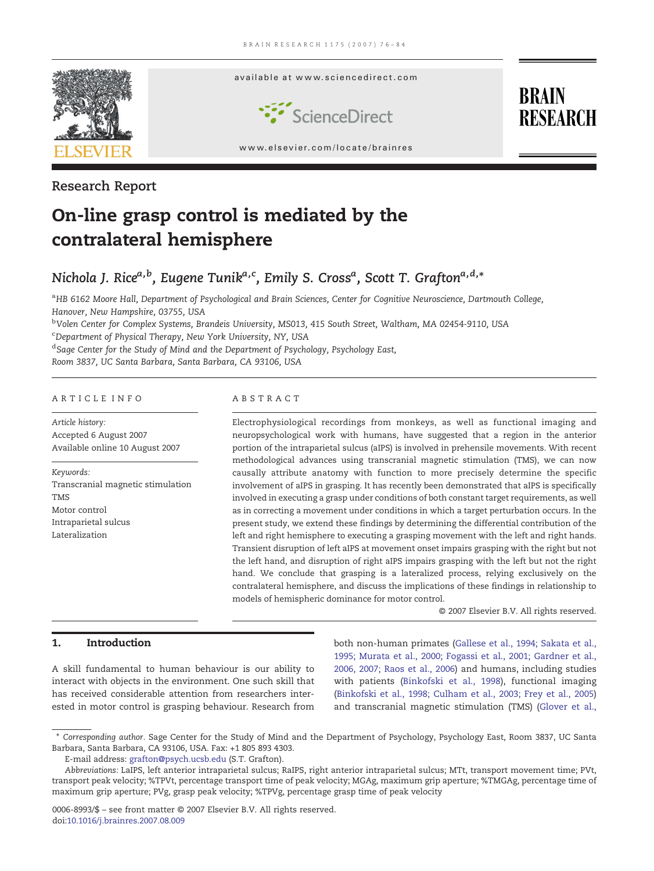

Research Report

# On-line grasp control is mediated by the contralateral hemisphere

## Nichola J. Rice<sup>a,b</sup>, Eugene Tunik<sup>a,c</sup>, Emily S. Cross<sup>a</sup>, Scott T. Grafton<sup>a,d,</sup>\*

<sup>a</sup>HB 6162 Moore Hall, Department of Psychological and Brain Sciences, Center for Cognitive Neuroscience, Dartmouth College, Hanover, New Hampshire, 03755, USA

<sup>b</sup>Volen Center for Complex Systems, Brandeis University, MS013, 415 South Street, Waltham, MA 02454-9110, USA <sup>c</sup>Department of Physical Therapy, New York University, NY, USA

<sup>d</sup>Sage Center for the Study of Mind and the Department of Psychology, Psychology East, Room 3837, UC Santa Barbara, Santa Barbara, CA 93106, USA

#### ARTICLE INFO ABSTRACT

Article history: Accepted 6 August 2007 Available online 10 August 2007

Keywords: Transcranial magnetic stimulation TMS Motor control Intraparietal sulcus Lateralization

Electrophysiological recordings from monkeys, as well as functional imaging and neuropsychological work with humans, have suggested that a region in the anterior portion of the intraparietal sulcus (aIPS) is involved in prehensile movements. With recent methodological advances using transcranial magnetic stimulation (TMS), we can now causally attribute anatomy with function to more precisely determine the specific involvement of aIPS in grasping. It has recently been demonstrated that aIPS is specifically involved in executing a grasp under conditions of both constant target requirements, as well as in correcting a movement under conditions in which a target perturbation occurs. In the present study, we extend these findings by determining the differential contribution of the left and right hemisphere to executing a grasping movement with the left and right hands. Transient disruption of left aIPS at movement onset impairs grasping with the right but not the left hand, and disruption of right aIPS impairs grasping with the left but not the right hand. We conclude that grasping is a lateralized process, relying exclusively on the contralateral hemisphere, and discuss the implications of these findings in relationship to models of hemispheric dominance for motor control.

© 2007 Elsevier B.V. All rights reserved.

### 1. Introduction

A skill fundamental to human behaviour is our ability to interact with objects in the environment. One such skill that has received considerable attention from researchers interested in motor control is grasping behaviour. Research from both non-human primates ([Gallese et al., 1994; Sakata et al.,](#page-7-0) [1995; Murata et al., 2000; Fogassi et al., 2001; Gardner et al.,](#page-7-0) [2006, 2007; Raos et al., 2006](#page-7-0)) and humans, including studies with patients [\(Binkofski et al., 1998](#page-7-0)), functional imaging ([Binkofski et al., 1998; Culham et al., 2003; Frey et al., 2005\)](#page-7-0) and transcranial magnetic stimulation (TMS) ([Glover et al.,](#page-7-0)

E-mail address: [grafton@psych.ucsb.edu](mailto:grafton@psych.ucsb.edu) (S.T. Grafton).

Abbreviations: LaIPS, left anterior intraparietal sulcus; RaIPS, right anterior intraparietal sulcus; MTt, transport movement time; PVt, transport peak velocity; %TPVt, percentage transport time of peak velocity; MGAg, maximum grip aperture; %TMGAg, percentage time of maximum grip aperture; PVg, grasp peak velocity; %TPVg, percentage grasp time of peak velocity

<sup>⁎</sup> Corresponding author. Sage Center for the Study of Mind and the Department of Psychology, Psychology East, Room 3837, UC Santa Barbara, Santa Barbara, CA 93106, USA. Fax: +1 805 893 4303.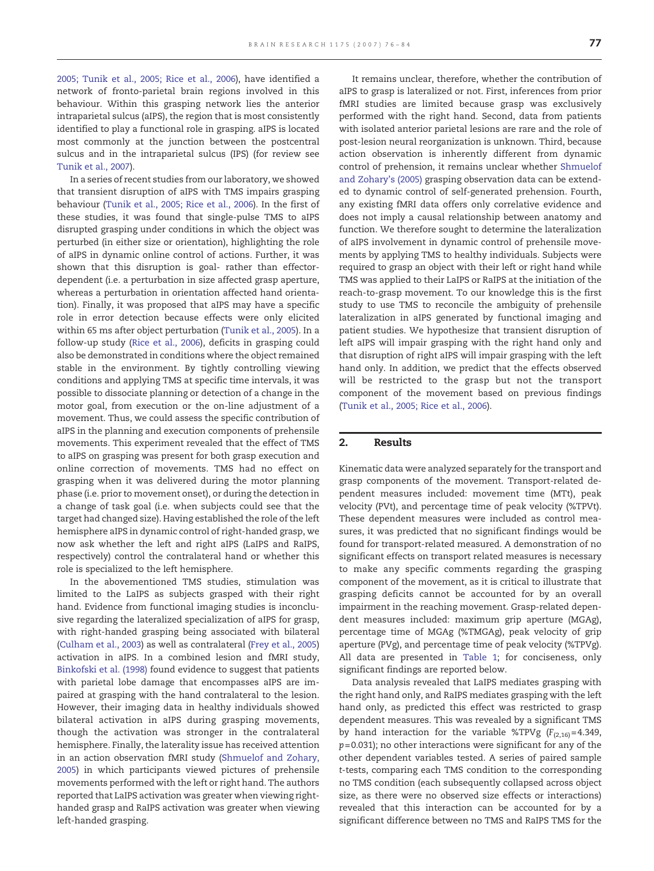[2005; Tunik et al., 2005; Rice et al., 2006\)](#page-7-0), have identified a network of fronto-parietal brain regions involved in this behaviour. Within this grasping network lies the anterior intraparietal sulcus (aIPS), the region that is most consistently identified to play a functional role in grasping. aIPS is located most commonly at the junction between the postcentral sulcus and in the intraparietal sulcus (IPS) (for review see [Tunik et al., 2007](#page-8-0)).

In a series of recent studies from our laboratory, we showed that transient disruption of aIPS with TMS impairs grasping behaviour [\(Tunik et al., 2005; Rice et al., 2006\)](#page-8-0). In the first of these studies, it was found that single-pulse TMS to aIPS disrupted grasping under conditions in which the object was perturbed (in either size or orientation), highlighting the role of aIPS in dynamic online control of actions. Further, it was shown that this disruption is goal- rather than effectordependent (i.e. a perturbation in size affected grasp aperture, whereas a perturbation in orientation affected hand orientation). Finally, it was proposed that aIPS may have a specific role in error detection because effects were only elicited within 65 ms after object perturbation ([Tunik et al., 2005\)](#page-8-0). In a follow-up study [\(Rice et al., 2006](#page-7-0)), deficits in grasping could also be demonstrated in conditions where the object remained stable in the environment. By tightly controlling viewing conditions and applying TMS at specific time intervals, it was possible to dissociate planning or detection of a change in the motor goal, from execution or the on-line adjustment of a movement. Thus, we could assess the specific contribution of aIPS in the planning and execution components of prehensile movements. This experiment revealed that the effect of TMS to aIPS on grasping was present for both grasp execution and online correction of movements. TMS had no effect on grasping when it was delivered during the motor planning phase (i.e. prior to movement onset), or during the detection in a change of task goal (i.e. when subjects could see that the target had changed size). Having established the role of the left hemisphere aIPS in dynamic control of right-handed grasp, we now ask whether the left and right aIPS (LaIPS and RaIPS, respectively) control the contralateral hand or whether this role is specialized to the left hemisphere.

In the abovementioned TMS studies, stimulation was limited to the LaIPS as subjects grasped with their right hand. Evidence from functional imaging studies is inconclusive regarding the lateralized specialization of aIPS for grasp, with right-handed grasping being associated with bilateral [\(Culham et al., 2003\)](#page-7-0) as well as contralateral [\(Frey et al., 2005\)](#page-7-0) activation in aIPS. In a combined lesion and fMRI study, [Binkofski et al. \(1998\)](#page-7-0) found evidence to suggest that patients with parietal lobe damage that encompasses aIPS are impaired at grasping with the hand contralateral to the lesion. However, their imaging data in healthy individuals showed bilateral activation in aIPS during grasping movements, though the activation was stronger in the contralateral hemisphere. Finally, the laterality issue has received attention in an action observation fMRI study [\(Shmuelof and Zohary,](#page-8-0) [2005](#page-8-0)) in which participants viewed pictures of prehensile movements performed with the left or right hand. The authors reported that LaIPS activation was greater when viewing righthanded grasp and RaIPS activation was greater when viewing left-handed grasping.

It remains unclear, therefore, whether the contribution of aIPS to grasp is lateralized or not. First, inferences from prior fMRI studies are limited because grasp was exclusively performed with the right hand. Second, data from patients with isolated anterior parietal lesions are rare and the role of post-lesion neural reorganization is unknown. Third, because action observation is inherently different from dynamic control of prehension, it remains unclear whether [Shmuelof](#page-8-0) [and Zohary's \(2005\)](#page-8-0) grasping observation data can be extended to dynamic control of self-generated prehension. Fourth, any existing fMRI data offers only correlative evidence and does not imply a causal relationship between anatomy and function. We therefore sought to determine the lateralization of aIPS involvement in dynamic control of prehensile movements by applying TMS to healthy individuals. Subjects were required to grasp an object with their left or right hand while TMS was applied to their LaIPS or RaIPS at the initiation of the reach-to-grasp movement. To our knowledge this is the first study to use TMS to reconcile the ambiguity of prehensile lateralization in aIPS generated by functional imaging and patient studies. We hypothesize that transient disruption of left aIPS will impair grasping with the right hand only and that disruption of right aIPS will impair grasping with the left hand only. In addition, we predict that the effects observed will be restricted to the grasp but not the transport component of the movement based on previous findings [\(Tunik et al., 2005; Rice et al., 2006\)](#page-8-0).

#### 2. Results

Kinematic data were analyzed separately for the transport and grasp components of the movement. Transport-related dependent measures included: movement time (MTt), peak velocity (PVt), and percentage time of peak velocity (%TPVt). These dependent measures were included as control measures, it was predicted that no significant findings would be found for transport-related measured. A demonstration of no significant effects on transport related measures is necessary to make any specific comments regarding the grasping component of the movement, as it is critical to illustrate that grasping deficits cannot be accounted for by an overall impairment in the reaching movement. Grasp-related dependent measures included: maximum grip aperture (MGAg), percentage time of MGAg (%TMGAg), peak velocity of grip aperture (PVg), and percentage time of peak velocity (%TPVg). All data are presented in [Table 1](#page-2-0); for conciseness, only significant findings are reported below.

Data analysis revealed that LaIPS mediates grasping with the right hand only, and RaIPS mediates grasping with the left hand only, as predicted this effect was restricted to grasp dependent measures. This was revealed by a significant TMS by hand interaction for the variable %TPVg  $(F_{(2,16)}=4.349)$ ,  $p = 0.031$ ); no other interactions were significant for any of the other dependent variables tested. A series of paired sample t-tests, comparing each TMS condition to the corresponding no TMS condition (each subsequently collapsed across object size, as there were no observed size effects or interactions) revealed that this interaction can be accounted for by a significant difference between no TMS and RaIPS TMS for the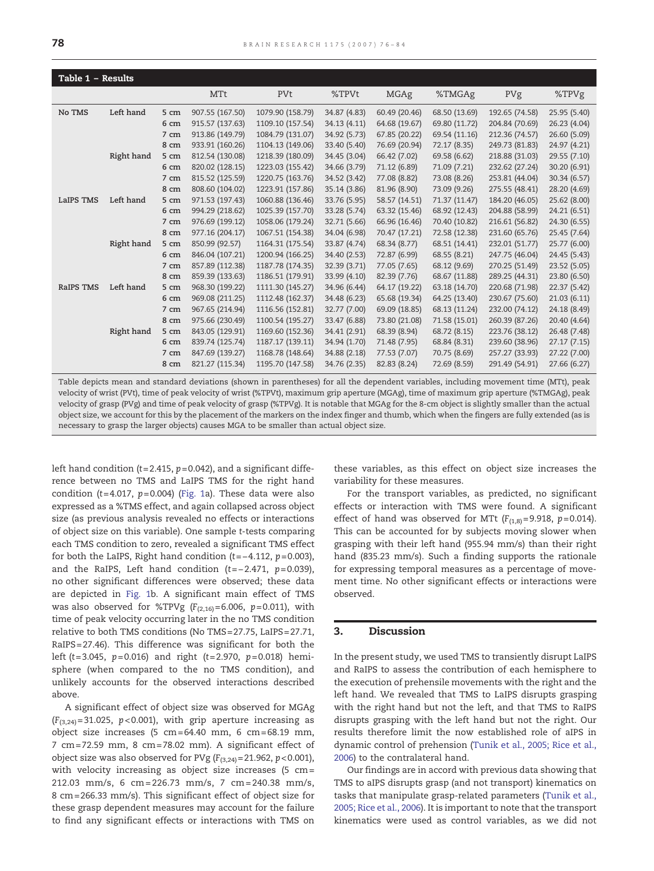<span id="page-2-0"></span>

| Table 1 - Results |            |      |                 |                  |              |               |               |                |              |
|-------------------|------------|------|-----------------|------------------|--------------|---------------|---------------|----------------|--------------|
|                   |            |      | MTt             | PVt              | %TPVt        | MGAg          | %TMGAg        | PVg            | %TPVg        |
| No TMS            | Left hand  | 5 cm | 907.55 (167.50) | 1079.90 (158.79) | 34.87 (4.83) | 60.49 (20.46) | 68.50 (13.69) | 192.65 (74.58) | 25.95 (5.40) |
|                   |            | 6 cm | 915.57 (137.63) | 1109.10 (157.54) | 34.13 (4.11) | 64.68 (19.67) | 69.80 (11.72) | 204.84 (70.69) | 26.23 (4.04) |
|                   |            | 7 cm | 913.86 (149.79) | 1084.79 (131.07) | 34.92 (5.73) | 67.85 (20.22) | 69.54 (11.16) | 212.36 (74.57) | 26.60 (5.09) |
|                   |            | 8 cm | 933.91 (160.26) | 1104.13 (149.06) | 33.40 (5.40) | 76.69 (20.94) | 72.17 (8.35)  | 249.73 (81.83) | 24.97 (4.21) |
|                   | Right hand | 5 cm | 812.54 (130.08) | 1218.39 (180.09) | 34.45 (3.04) | 66.42 (7.02)  | 69.58 (6.62)  | 218.88 (31.03) | 29.55 (7.10) |
|                   |            | 6 cm | 820.02 (128.15) | 1223.03 (155.42) | 34.66 (3.79) | 71.12 (6.89)  | 71.09 (7.21)  | 232.62 (27.24) | 30.20 (6.91) |
|                   |            | 7 cm | 815.52 (125.59) | 1220.75 (163.76) | 34.52 (3.42) | 77.08 (8.82)  | 73.08 (8.26)  | 253.81 (44.04) | 30.34 (6.57) |
|                   |            | 8 cm | 808.60 (104.02) | 1223.91 (157.86) | 35.14 (3.86) | 81.96 (8.90)  | 73.09 (9.26)  | 275.55 (48.41) | 28.20 (4.69) |
| <b>LaIPS TMS</b>  | Left hand  | 5 cm | 971.53 (197.43) | 1060.88 (136.46) | 33.76 (5.95) | 58.57 (14.51) | 71.37 (11.47) | 184.20 (46.05) | 25.62 (8.00) |
|                   |            | 6 cm | 994.29 (218.62) | 1025.39 (157.70) | 33.28 (5.74) | 63.32 (15.46) | 68.92 (12.43) | 204.88 (58.99) | 24.21 (6.51) |
|                   |            | 7 cm | 976.69 (199.12) | 1058.06 (179.24) | 32.71 (5.66) | 66.96 (16.46) | 70.40 (10.82) | 216.61 (56.82) | 24.30 (6.55) |
|                   |            | 8 cm | 977.16 (204.17) | 1067.51 (154.38) | 34.04 (6.98) | 70.47 (17.21) | 72.58 (12.38) | 231.60 (65.76) | 25.45 (7.64) |
|                   | Right hand | 5 cm | 850.99 (92.57)  | 1164.31 (175.54) | 33.87 (4.74) | 68.34 (8.77)  | 68.51 (14.41) | 232.01 (51.77) | 25.77 (6.00) |
|                   |            | 6 cm | 846.04 (107.21) | 1200.94 (166.25) | 34.40 (2.53) | 72.87 (6.99)  | 68.55 (8.21)  | 247.75 (46.04) | 24.45 (5.43) |
|                   |            | 7 cm | 857.89 (112.38) | 1187.78 (174.35) | 32.39 (3.71) | 77.05 (7.65)  | 68.12 (9.69)  | 270.25 (51.49) | 23.52 (5.05) |
|                   |            | 8 cm | 859.39 (133.63) | 1186.51 (179.91) | 33.99 (4.10) | 82.39 (7.76)  | 68.67 (11.88) | 289.25 (44.31) | 23.80 (6.50) |
| <b>RaIPS TMS</b>  | Left hand  | 5 cm | 968.30 (199.22) | 1111.30 (145.27) | 34.96 (6.44) | 64.17 (19.22) | 63.18 (14.70) | 220.68 (71.98) | 22.37 (5.42) |
|                   |            | 6 cm | 969.08 (211.25) | 1112.48 (162.37) | 34.48 (6.23) | 65.68 (19.34) | 64.25 (13.40) | 230.67 (75.60) | 21.03(6.11)  |
|                   |            | 7 cm | 967.65 (214.94) | 1116.56 (152.81) | 32.77 (7.00) | 69.09 (18.85) | 68.13 (11.24) | 232.00 (74.12) | 24.18 (8.49) |
|                   |            | 8 cm | 975.66 (230.49) | 1100.54 (195.27) | 33.47 (6.88) | 73.80 (21.08) | 71.58 (15.01) | 260.39 (87.26) | 20.40 (4.64) |
|                   | Right hand | 5 cm | 843.05 (129.91) | 1169.60 (152.36) | 34.41 (2.91) | 68.39 (8.94)  | 68.72 (8.15)  | 223.76 (38.12) | 26.48 (7.48) |
|                   |            | 6 cm | 839.74 (125.74) | 1187.17 (139.11) | 34.94 (1.70) | 71.48 (7.95)  | 68.84 (8.31)  | 239.60 (38.96) | 27.17(7.15)  |
|                   |            | 7 cm | 847.69 (139.27) | 1168.78 (148.64) | 34.88 (2.18) | 77.53 (7.07)  | 70.75 (8.69)  | 257.27 (33.93) | 27.22 (7.00) |
|                   |            | 8 cm | 821.27 (115.34) | 1195.70 (147.58) | 34.76 (2.35) | 82.83 (8.24)  | 72.69 (8.59)  | 291.49 (54.91) | 27.66 (6.27) |

Table depicts mean and standard deviations (shown in parentheses) for all the dependent variables, including movement time (MTt), peak velocity of wrist (PVt), time of peak velocity of wrist (%TPVt), maximum grip aperture (MGAg), time of maximum grip aperture (%TMGAg), peak velocity of grasp (PVg) and time of peak velocity of grasp (%TPVg). It is notable that MGAg for the 8-cm object is slightly smaller than the actual object size, we account for this by the placement of the markers on the index finger and thumb, which when the fingers are fully extended (as is necessary to grasp the larger objects) causes MGA to be smaller than actual object size.

left hand condition (t= 2.415,  $p=$  0.042), and a significant difference between no TMS and LaIPS TMS for the right hand condition ( $t = 4.017$ ,  $p = 0.004$ ) [\(Fig. 1a](#page-3-0)). These data were also expressed as a %TMS effect, and again collapsed across object size (as previous analysis revealed no effects or interactions of object size on this variable). One sample t-tests comparing each TMS condition to zero, revealed a significant TMS effect for both the LaIPS, Right hand condition (t=−4.112, p= 0.003), and the RaIPS, Left hand condition (t=−2.471, p= 0.039), no other significant differences were observed; these data are depicted in [Fig. 1](#page-3-0)b. A significant main effect of TMS was also observed for %TPVg  $(F_{(2,16)}=6.006, p=0.011)$ , with time of peak velocity occurring later in the no TMS condition relative to both TMS conditions (No TMS= 27.75, LaIPS = 27.71, RaIPS= 27.46). This difference was significant for both the left (t= 3.045,  $p = 0.016$ ) and right (t= 2.970,  $p = 0.018$ ) hemisphere (when compared to the no TMS condition), and unlikely accounts for the observed interactions described above.

A significant effect of object size was observed for MGAg  $(F_{(3,24)}=31.025, p<0.001)$ , with grip aperture increasing as object size increases (5 cm = 64.40 mm, 6 cm = 68.19 mm, 7 cm= 72.59 mm, 8 cm = 78.02 mm). A significant effect of object size was also observed for PVg  $(F_{(3,24)}=21.962, p<0.001)$ , with velocity increasing as object size increases (5 cm = 212.03 mm/s, 6 cm = 226.73 mm/s, 7 cm = 240.38 mm/s, 8 cm = 266.33 mm/s). This significant effect of object size for these grasp dependent measures may account for the failure to find any significant effects or interactions with TMS on

these variables, as this effect on object size increases the variability for these measures.

For the transport variables, as predicted, no significant effects or interaction with TMS were found. A significant effect of hand was observed for MTt  $(F_{(1,8)}=9.918, p=0.014)$ . This can be accounted for by subjects moving slower when grasping with their left hand (955.94 mm/s) than their right hand (835.23 mm/s). Such a finding supports the rationale for expressing temporal measures as a percentage of movement time. No other significant effects or interactions were observed.

#### 3. Discussion

In the present study, we used TMS to transiently disrupt LaIPS and RaIPS to assess the contribution of each hemisphere to the execution of prehensile movements with the right and the left hand. We revealed that TMS to LaIPS disrupts grasping with the right hand but not the left, and that TMS to RaIPS disrupts grasping with the left hand but not the right. Our results therefore limit the now established role of aIPS in dynamic control of prehension ([Tunik et al., 2005; Rice et al.,](#page-8-0) [2006\)](#page-8-0) to the contralateral hand.

Our findings are in accord with previous data showing that TMS to aIPS disrupts grasp (and not transport) kinematics on tasks that manipulate grasp-related parameters ([Tunik et al.,](#page-8-0) [2005; Rice et al., 2006](#page-8-0)). It is important to note that the transport kinematics were used as control variables, as we did not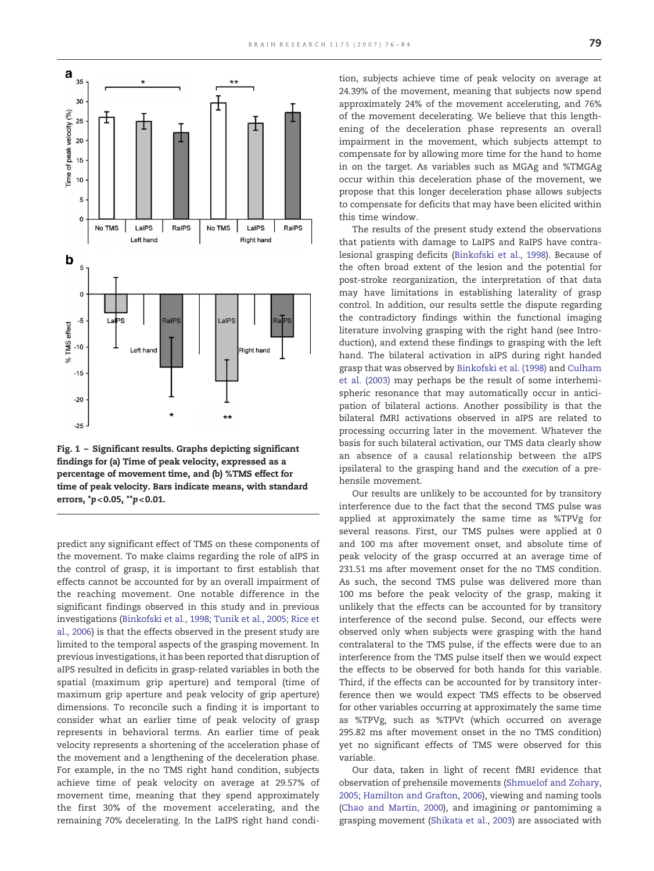<span id="page-3-0"></span>

Fig. 1 – Significant results. Graphs depicting significant findings for (a) Time of peak velocity, expressed as a percentage of movement time, and (b) %TMS effect for time of peak velocity. Bars indicate means, with standard errors, \*p< 0.05, \*\*p< 0.01.

predict any significant effect of TMS on these components of the movement. To make claims regarding the role of aIPS in the control of grasp, it is important to first establish that effects cannot be accounted for by an overall impairment of the reaching movement. One notable difference in the significant findings observed in this study and in previous investigations [\(Binkofski et al., 1998; Tunik et al., 2005; Rice et](#page-7-0) [al., 2006](#page-7-0)) is that the effects observed in the present study are limited to the temporal aspects of the grasping movement. In previous investigations, it has been reported that disruption of aIPS resulted in deficits in grasp-related variables in both the spatial (maximum grip aperture) and temporal (time of maximum grip aperture and peak velocity of grip aperture) dimensions. To reconcile such a finding it is important to consider what an earlier time of peak velocity of grasp represents in behavioral terms. An earlier time of peak velocity represents a shortening of the acceleration phase of the movement and a lengthening of the deceleration phase. For example, in the no TMS right hand condition, subjects achieve time of peak velocity on average at 29.57% of movement time, meaning that they spend approximately the first 30% of the movement accelerating, and the remaining 70% decelerating. In the LaIPS right hand condi-

tion, subjects achieve time of peak velocity on average at 24.39% of the movement, meaning that subjects now spend approximately 24% of the movement accelerating, and 76% of the movement decelerating. We believe that this lengthening of the deceleration phase represents an overall impairment in the movement, which subjects attempt to compensate for by allowing more time for the hand to home in on the target. As variables such as MGAg and %TMGAg occur within this deceleration phase of the movement, we propose that this longer deceleration phase allows subjects to compensate for deficits that may have been elicited within this time window.

The results of the present study extend the observations that patients with damage to LaIPS and RaIPS have contralesional grasping deficits [\(Binkofski et al., 1998](#page-7-0)). Because of the often broad extent of the lesion and the potential for post-stroke reorganization, the interpretation of that data may have limitations in establishing laterality of grasp control. In addition, our results settle the dispute regarding the contradictory findings within the functional imaging literature involving grasping with the right hand (see Introduction), and extend these findings to grasping with the left hand. The bilateral activation in aIPS during right handed grasp that was observed by [Binkofski et al. \(1998\)](#page-7-0) and [Culham](#page-7-0) [et al. \(2003\)](#page-7-0) may perhaps be the result of some interhemispheric resonance that may automatically occur in anticipation of bilateral actions. Another possibility is that the bilateral fMRI activations observed in aIPS are related to processing occurring later in the movement. Whatever the basis for such bilateral activation, our TMS data clearly show an absence of a causal relationship between the aIPS ipsilateral to the grasping hand and the execution of a prehensile movement.

Our results are unlikely to be accounted for by transitory interference due to the fact that the second TMS pulse was applied at approximately the same time as %TPVg for several reasons. First, our TMS pulses were applied at 0 and 100 ms after movement onset, and absolute time of peak velocity of the grasp occurred at an average time of 231.51 ms after movement onset for the no TMS condition. As such, the second TMS pulse was delivered more than 100 ms before the peak velocity of the grasp, making it unlikely that the effects can be accounted for by transitory interference of the second pulse. Second, our effects were observed only when subjects were grasping with the hand contralateral to the TMS pulse, if the effects were due to an interference from the TMS pulse itself then we would expect the effects to be observed for both hands for this variable. Third, if the effects can be accounted for by transitory interference then we would expect TMS effects to be observed for other variables occurring at approximately the same time as %TPVg, such as %TPVt (which occurred on average 295.82 ms after movement onset in the no TMS condition) yet no significant effects of TMS were observed for this variable.

Our data, taken in light of recent fMRI evidence that observation of prehensile movements [\(Shmuelof and Zohary,](#page-8-0) [2005; Hamilton and Grafton, 2006](#page-8-0)), viewing and naming tools [\(Chao and Martin, 2000\)](#page-7-0), and imagining or pantomiming a grasping movement ([Shikata et al., 2003](#page-8-0)) are associated with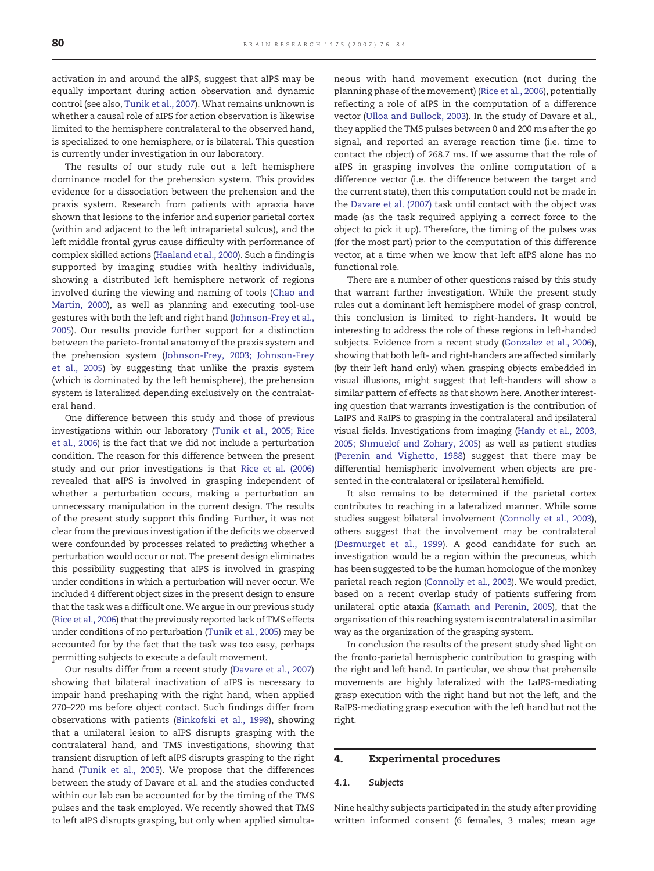activation in and around the aIPS, suggest that aIPS may be equally important during action observation and dynamic control (see also, [Tunik et al., 2007\)](#page-8-0). What remains unknown is whether a causal role of aIPS for action observation is likewise limited to the hemisphere contralateral to the observed hand, is specialized to one hemisphere, or is bilateral. This question is currently under investigation in our laboratory.

The results of our study rule out a left hemisphere dominance model for the prehension system. This provides evidence for a dissociation between the prehension and the praxis system. Research from patients with apraxia have shown that lesions to the inferior and superior parietal cortex (within and adjacent to the left intraparietal sulcus), and the left middle frontal gyrus cause difficulty with performance of complex skilled actions [\(Haaland et al., 2000](#page-7-0)). Such a finding is supported by imaging studies with healthy individuals, showing a distributed left hemisphere network of regions involved during the viewing and naming of tools [\(Chao and](#page-7-0) [Martin, 2000\)](#page-7-0), as well as planning and executing tool-use gestures with both the left and right hand [\(Johnson-Frey et al.,](#page-7-0) [2005\)](#page-7-0). Our results provide further support for a distinction between the parieto-frontal anatomy of the praxis system and the prehension system [\(Johnson-Frey, 2003; Johnson-Frey](#page-7-0) [et al., 2005\)](#page-7-0) by suggesting that unlike the praxis system (which is dominated by the left hemisphere), the prehension system is lateralized depending exclusively on the contralateral hand.

One difference between this study and those of previous investigations within our laboratory [\(Tunik et al., 2005; Rice](#page-8-0) [et al., 2006\)](#page-8-0) is the fact that we did not include a perturbation condition. The reason for this difference between the present study and our prior investigations is that [Rice et al. \(2006\)](#page-7-0) revealed that aIPS is involved in grasping independent of whether a perturbation occurs, making a perturbation an unnecessary manipulation in the current design. The results of the present study support this finding. Further, it was not clear from the previous investigation if the deficits we observed were confounded by processes related to predicting whether a perturbation would occur or not. The present design eliminates this possibility suggesting that aIPS is involved in grasping under conditions in which a perturbation will never occur. We included 4 different object sizes in the present design to ensure that the task was a difficult one. We argue in our previous study ([Rice et al., 2006\)](#page-7-0) that the previously reported lack of TMS effects under conditions of no perturbation [\(Tunik et al., 2005\)](#page-8-0) may be accounted for by the fact that the task was too easy, perhaps permitting subjects to execute a default movement.

Our results differ from a recent study [\(Davare et al., 2007\)](#page-7-0) showing that bilateral inactivation of aIPS is necessary to impair hand preshaping with the right hand, when applied 270–220 ms before object contact. Such findings differ from observations with patients ([Binkofski et al., 1998\)](#page-7-0), showing that a unilateral lesion to aIPS disrupts grasping with the contralateral hand, and TMS investigations, showing that transient disruption of left aIPS disrupts grasping to the right hand ([Tunik et al., 2005](#page-8-0)). We propose that the differences between the study of Davare et al. and the studies conducted within our lab can be accounted for by the timing of the TMS pulses and the task employed. We recently showed that TMS to left aIPS disrupts grasping, but only when applied simultaneous with hand movement execution (not during the planning phase of the movement) ([Rice et al., 2006](#page-7-0)), potentially reflecting a role of aIPS in the computation of a difference vector [\(Ulloa and Bullock, 2003](#page-8-0)). In the study of Davare et al., they applied the TMS pulses between 0 and 200 ms after the go signal, and reported an average reaction time (i.e. time to contact the object) of 268.7 ms. If we assume that the role of aIPS in grasping involves the online computation of a difference vector (i.e. the difference between the target and the current state), then this computation could not be made in the [Davare et al. \(2007\)](#page-7-0) task until contact with the object was made (as the task required applying a correct force to the object to pick it up). Therefore, the timing of the pulses was (for the most part) prior to the computation of this difference vector, at a time when we know that left aIPS alone has no functional role.

There are a number of other questions raised by this study that warrant further investigation. While the present study rules out a dominant left hemisphere model of grasp control, this conclusion is limited to right-handers. It would be interesting to address the role of these regions in left-handed subjects. Evidence from a recent study ([Gonzalez et al., 2006\)](#page-7-0), showing that both left- and right-handers are affected similarly (by their left hand only) when grasping objects embedded in visual illusions, might suggest that left-handers will show a similar pattern of effects as that shown here. Another interesting question that warrants investigation is the contribution of LaIPS and RaIPS to grasping in the contralateral and ipsilateral visual fields. Investigations from imaging ([Handy et al., 2003,](#page-7-0) [2005; Shmuelof and Zohary, 2005\)](#page-7-0) as well as patient studies ([Perenin and Vighetto, 1988\)](#page-7-0) suggest that there may be differential hemispheric involvement when objects are presented in the contralateral or ipsilateral hemifield.

It also remains to be determined if the parietal cortex contributes to reaching in a lateralized manner. While some studies suggest bilateral involvement ([Connolly et al., 2003\)](#page-7-0), others suggest that the involvement may be contralateral ([Desmurget et al., 1999](#page-7-0)). A good candidate for such an investigation would be a region within the precuneus, which has been suggested to be the human homologue of the monkey parietal reach region ([Connolly et al., 2003](#page-7-0)). We would predict, based on a recent overlap study of patients suffering from unilateral optic ataxia [\(Karnath and Perenin, 2005\)](#page-7-0), that the organization of this reaching system is contralateral in a similar way as the organization of the grasping system.

In conclusion the results of the present study shed light on the fronto-parietal hemispheric contribution to grasping with the right and left hand. In particular, we show that prehensile movements are highly lateralized with the LaIPS-mediating grasp execution with the right hand but not the left, and the RaIPS-mediating grasp execution with the left hand but not the right.

#### 4. Experimental procedures

#### 4.1. Subjects

Nine healthy subjects participated in the study after providing written informed consent (6 females, 3 males; mean age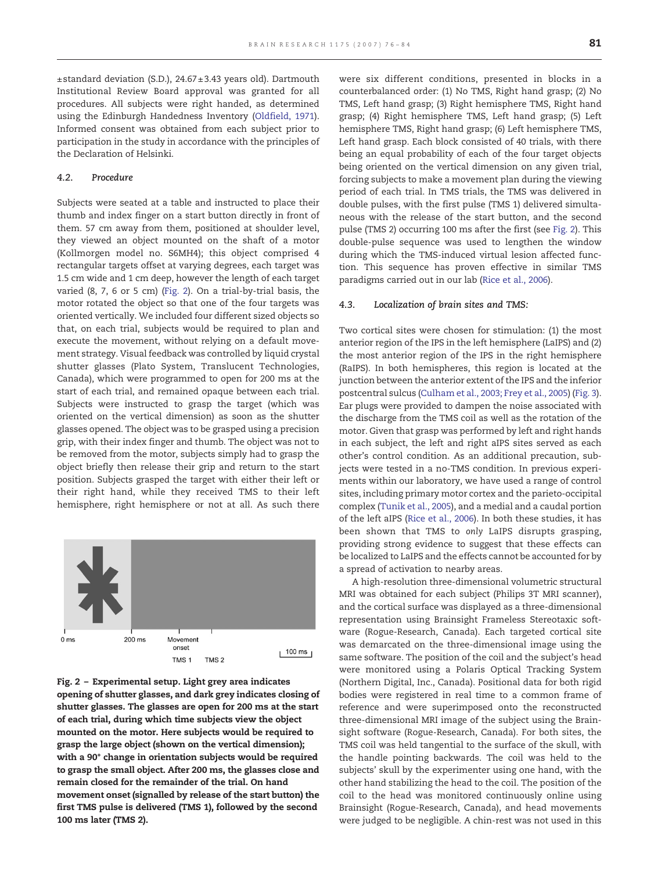± standard deviation (S.D.), 24.67± 3.43 years old). Dartmouth Institutional Review Board approval was granted for all procedures. All subjects were right handed, as determined using the Edinburgh Handedness Inventory [\(Oldfield, 1971](#page-7-0)). Informed consent was obtained from each subject prior to participation in the study in accordance with the principles of the Declaration of Helsinki.

#### 4.2. Procedure

Subjects were seated at a table and instructed to place their thumb and index finger on a start button directly in front of them. 57 cm away from them, positioned at shoulder level, they viewed an object mounted on the shaft of a motor (Kollmorgen model no. S6MH4); this object comprised 4 rectangular targets offset at varying degrees, each target was 1.5 cm wide and 1 cm deep, however the length of each target varied (8, 7, 6 or 5 cm) (Fig. 2). On a trial-by-trial basis, the motor rotated the object so that one of the four targets was oriented vertically. We included four different sized objects so that, on each trial, subjects would be required to plan and execute the movement, without relying on a default movement strategy. Visual feedback was controlled by liquid crystal shutter glasses (Plato System, Translucent Technologies, Canada), which were programmed to open for 200 ms at the start of each trial, and remained opaque between each trial. Subjects were instructed to grasp the target (which was oriented on the vertical dimension) as soon as the shutter glasses opened. The object was to be grasped using a precision grip, with their index finger and thumb. The object was not to be removed from the motor, subjects simply had to grasp the object briefly then release their grip and return to the start position. Subjects grasped the target with either their left or their right hand, while they received TMS to their left hemisphere, right hemisphere or not at all. As such there





were six different conditions, presented in blocks in a counterbalanced order: (1) No TMS, Right hand grasp; (2) No TMS, Left hand grasp; (3) Right hemisphere TMS, Right hand grasp; (4) Right hemisphere TMS, Left hand grasp; (5) Left hemisphere TMS, Right hand grasp; (6) Left hemisphere TMS, Left hand grasp. Each block consisted of 40 trials, with there being an equal probability of each of the four target objects being oriented on the vertical dimension on any given trial, forcing subjects to make a movement plan during the viewing period of each trial. In TMS trials, the TMS was delivered in double pulses, with the first pulse (TMS 1) delivered simultaneous with the release of the start button, and the second pulse (TMS 2) occurring 100 ms after the first (see Fig. 2). This double-pulse sequence was used to lengthen the window during which the TMS-induced virtual lesion affected function. This sequence has proven effective in similar TMS paradigms carried out in our lab [\(Rice et al., 2006](#page-7-0)).

#### 4.3. Localization of brain sites and TMS:

Two cortical sites were chosen for stimulation: (1) the most anterior region of the IPS in the left hemisphere (LaIPS) and (2) the most anterior region of the IPS in the right hemisphere (RaIPS). In both hemispheres, this region is located at the junction between the anterior extent of the IPS and the inferior postcentral sulcus [\(Culham et al., 2003; Frey et al., 2005](#page-7-0)) ([Fig. 3](#page-6-0)). Ear plugs were provided to dampen the noise associated with the discharge from the TMS coil as well as the rotation of the motor. Given that grasp was performed by left and right hands in each subject, the left and right aIPS sites served as each other's control condition. As an additional precaution, subjects were tested in a no-TMS condition. In previous experiments within our laboratory, we have used a range of control sites, including primary motor cortex and the parieto-occipital complex [\(Tunik et al., 2005\)](#page-8-0), and a medial and a caudal portion of the left aIPS [\(Rice et al., 2006\)](#page-7-0). In both these studies, it has been shown that TMS to only LaIPS disrupts grasping, providing strong evidence to suggest that these effects can be localized to LaIPS and the effects cannot be accounted for by a spread of activation to nearby areas.

A high-resolution three-dimensional volumetric structural MRI was obtained for each subject (Philips 3T MRI scanner), and the cortical surface was displayed as a three-dimensional representation using Brainsight Frameless Stereotaxic software (Rogue-Research, Canada). Each targeted cortical site was demarcated on the three-dimensional image using the same software. The position of the coil and the subject's head were monitored using a Polaris Optical Tracking System (Northern Digital, Inc., Canada). Positional data for both rigid bodies were registered in real time to a common frame of reference and were superimposed onto the reconstructed three-dimensional MRI image of the subject using the Brainsight software (Rogue-Research, Canada). For both sites, the TMS coil was held tangential to the surface of the skull, with the handle pointing backwards. The coil was held to the subjects' skull by the experimenter using one hand, with the other hand stabilizing the head to the coil. The position of the coil to the head was monitored continuously online using Brainsight (Rogue-Research, Canada), and head movements were judged to be negligible. A chin-rest was not used in this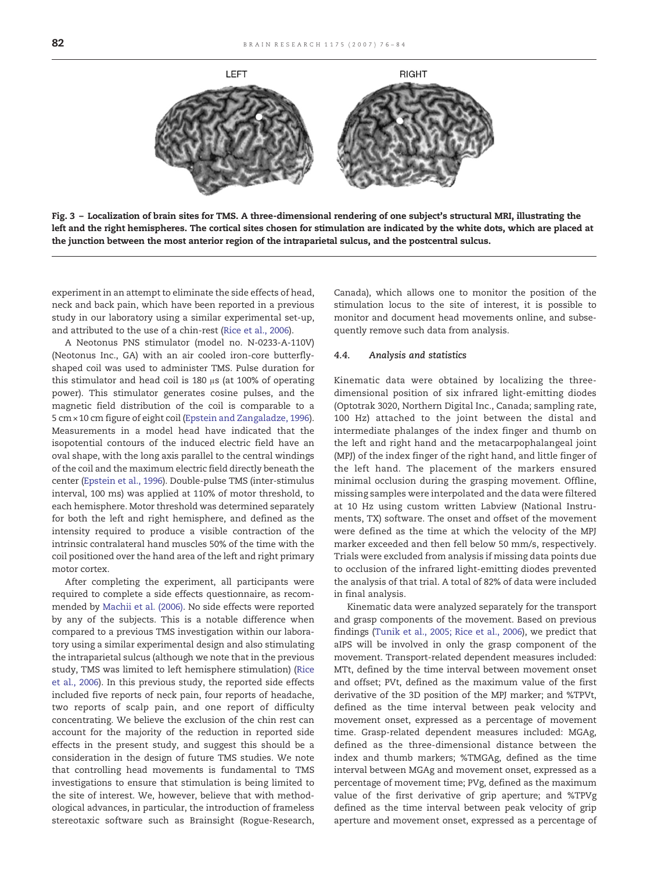<span id="page-6-0"></span>

Fig. 3 – Localization of brain sites for TMS. A three-dimensional rendering of one subject's structural MRI, illustrating the left and the right hemispheres. The cortical sites chosen for stimulation are indicated by the white dots, which are placed at the junction between the most anterior region of the intraparietal sulcus, and the postcentral sulcus.

experiment in an attempt to eliminate the side effects of head, neck and back pain, which have been reported in a previous study in our laboratory using a similar experimental set-up, and attributed to the use of a chin-rest ([Rice et al., 2006](#page-7-0)).

A Neotonus PNS stimulator (model no. N-0233-A-110V) (Neotonus Inc., GA) with an air cooled iron-core butterflyshaped coil was used to administer TMS. Pulse duration for this stimulator and head coil is 180 μs (at 100% of operating power). This stimulator generates cosine pulses, and the magnetic field distribution of the coil is comparable to a 5 cm × 10 cm figure of eight coil ([Epstein and Zangaladze, 1996\)](#page-7-0). Measurements in a model head have indicated that the isopotential contours of the induced electric field have an oval shape, with the long axis parallel to the central windings of the coil and the maximum electric field directly beneath the center [\(Epstein et al., 1996](#page-7-0)). Double-pulse TMS (inter-stimulus interval, 100 ms) was applied at 110% of motor threshold, to each hemisphere. Motor threshold was determined separately for both the left and right hemisphere, and defined as the intensity required to produce a visible contraction of the intrinsic contralateral hand muscles 50% of the time with the coil positioned over the hand area of the left and right primary motor cortex.

After completing the experiment, all participants were required to complete a side effects questionnaire, as recommended by [Machii et al. \(2006\).](#page-7-0) No side effects were reported by any of the subjects. This is a notable difference when compared to a previous TMS investigation within our laboratory using a similar experimental design and also stimulating the intraparietal sulcus (although we note that in the previous study, TMS was limited to left hemisphere stimulation) [\(Rice](#page-7-0) [et al., 2006\)](#page-7-0). In this previous study, the reported side effects included five reports of neck pain, four reports of headache, two reports of scalp pain, and one report of difficulty concentrating. We believe the exclusion of the chin rest can account for the majority of the reduction in reported side effects in the present study, and suggest this should be a consideration in the design of future TMS studies. We note that controlling head movements is fundamental to TMS investigations to ensure that stimulation is being limited to the site of interest. We, however, believe that with methodological advances, in particular, the introduction of frameless stereotaxic software such as Brainsight (Rogue-Research,

Canada), which allows one to monitor the position of the stimulation locus to the site of interest, it is possible to monitor and document head movements online, and subsequently remove such data from analysis.

#### 4.4. Analysis and statistics

Kinematic data were obtained by localizing the threedimensional position of six infrared light-emitting diodes (Optotrak 3020, Northern Digital Inc., Canada; sampling rate, 100 Hz) attached to the joint between the distal and intermediate phalanges of the index finger and thumb on the left and right hand and the metacarpophalangeal joint (MPJ) of the index finger of the right hand, and little finger of the left hand. The placement of the markers ensured minimal occlusion during the grasping movement. Offline, missing samples were interpolated and the data were filtered at 10 Hz using custom written Labview (National Instruments, TX) software. The onset and offset of the movement were defined as the time at which the velocity of the MPJ marker exceeded and then fell below 50 mm/s, respectively. Trials were excluded from analysis if missing data points due to occlusion of the infrared light-emitting diodes prevented the analysis of that trial. A total of 82% of data were included in final analysis.

Kinematic data were analyzed separately for the transport and grasp components of the movement. Based on previous findings [\(Tunik et al., 2005; Rice et al., 2006\)](#page-8-0), we predict that aIPS will be involved in only the grasp component of the movement. Transport-related dependent measures included: MTt, defined by the time interval between movement onset and offset; PVt, defined as the maximum value of the first derivative of the 3D position of the MPJ marker; and %TPVt, defined as the time interval between peak velocity and movement onset, expressed as a percentage of movement time. Grasp-related dependent measures included: MGAg, defined as the three-dimensional distance between the index and thumb markers; %TMGAg, defined as the time interval between MGAg and movement onset, expressed as a percentage of movement time; PVg, defined as the maximum value of the first derivative of grip aperture; and %TPVg defined as the time interval between peak velocity of grip aperture and movement onset, expressed as a percentage of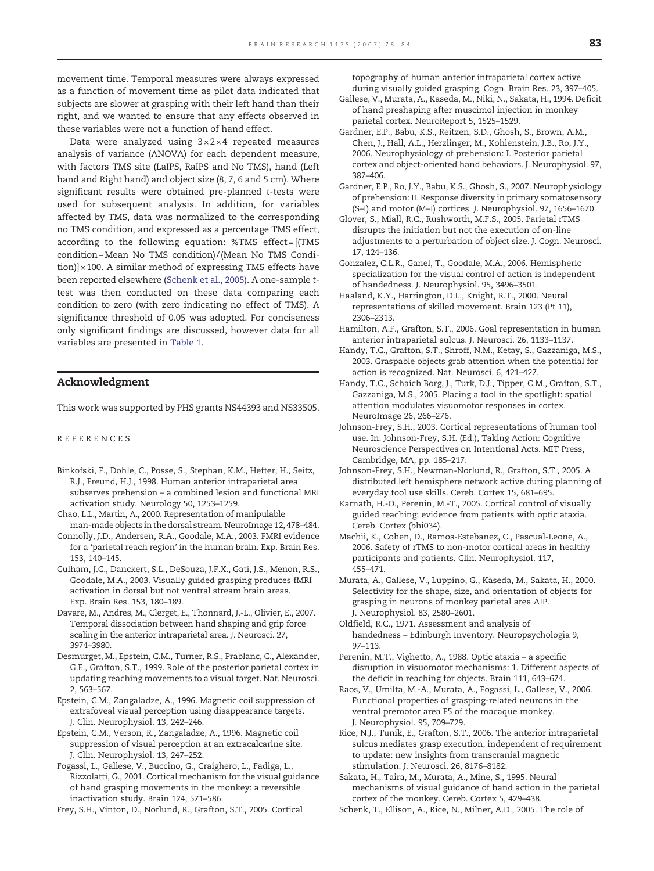<span id="page-7-0"></span>movement time. Temporal measures were always expressed as a function of movement time as pilot data indicated that subjects are slower at grasping with their left hand than their right, and we wanted to ensure that any effects observed in these variables were not a function of hand effect.

Data were analyzed using  $3 \times 2 \times 4$  repeated measures analysis of variance (ANOVA) for each dependent measure, with factors TMS site (LaIPS, RaIPS and No TMS), hand (Left hand and Right hand) and object size (8, 7, 6 and 5 cm). Where significant results were obtained pre-planned t-tests were used for subsequent analysis. In addition, for variables affected by TMS, data was normalized to the corresponding no TMS condition, and expressed as a percentage TMS effect, according to the following equation: %TMS effect=[(TMS condition−Mean No TMS condition) / (Mean No TMS Condi- $\frac{1}{x}$  tion)] $\times$ 100. A similar method of expressing TMS effects have been reported elsewhere (Schenk et al., 2005). A one-sample ttest was then conducted on these data comparing each condition to zero (with zero indicating no effect of TMS). A significance threshold of 0.05 was adopted. For conciseness only significant findings are discussed, however data for all variables are presented in [Table 1](#page-2-0).

#### Acknowledgment

This work was supported by PHS grants NS44393 and NS33505.

#### REFERENCES

- Binkofski, F., Dohle, C., Posse, S., Stephan, K.M., Hefter, H., Seitz, R.J., Freund, H.J., 1998. Human anterior intraparietal area subserves prehension – a combined lesion and functional MRI activation study. Neurology 50, 1253–1259.
- Chao, L.L., Martin, A., 2000. Representation of manipulable man-made objects in the dorsal stream. NeuroImage 12, 478–484.
- Connolly, J.D., Andersen, R.A., Goodale, M.A., 2003. FMRI evidence for a 'parietal reach region' in the human brain. Exp. Brain Res. 153, 140–145.
- Culham, J.C., Danckert, S.L., DeSouza, J.F.X., Gati, J.S., Menon, R.S., Goodale, M.A., 2003. Visually guided grasping produces fMRI activation in dorsal but not ventral stream brain areas. Exp. Brain Res. 153, 180–189.
- Davare, M., Andres, M., Clerget, E., Thonnard, J.-L., Olivier, E., 2007. Temporal dissociation between hand shaping and grip force scaling in the anterior intraparietal area. J. Neurosci. 27, 3974–3980.
- Desmurget, M., Epstein, C.M., Turner, R.S., Prablanc, C., Alexander, G.E., Grafton, S.T., 1999. Role of the posterior parietal cortex in updating reaching movements to a visual target. Nat. Neurosci. 2, 563–567.
- Epstein, C.M., Zangaladze, A., 1996. Magnetic coil suppression of extrafoveal visual perception using disappearance targets. J. Clin. Neurophysiol. 13, 242–246.
- Epstein, C.M., Verson, R., Zangaladze, A., 1996. Magnetic coil suppression of visual perception at an extracalcarine site. J. Clin. Neurophysiol. 13, 247–252.
- Fogassi, L., Gallese, V., Buccino, G., Craighero, L., Fadiga, L., Rizzolatti, G., 2001. Cortical mechanism for the visual guidance of hand grasping movements in the monkey: a reversible inactivation study. Brain 124, 571–586.

Frey, S.H., Vinton, D., Norlund, R., Grafton, S.T., 2005. Cortical

topography of human anterior intraparietal cortex active during visually guided grasping. Cogn. Brain Res. 23, 397–405.

- Gallese, V., Murata, A., Kaseda, M., Niki, N., Sakata, H., 1994. Deficit of hand preshaping after muscimol injection in monkey parietal cortex. NeuroReport 5, 1525–1529.
- Gardner, E.P., Babu, K.S., Reitzen, S.D., Ghosh, S., Brown, A.M., Chen, J., Hall, A.L., Herzlinger, M., Kohlenstein, J.B., Ro, J.Y., 2006. Neurophysiology of prehension: I. Posterior parietal cortex and object-oriented hand behaviors. J. Neurophysiol. 97, 387–406.
- Gardner, E.P., Ro, J.Y., Babu, K.S., Ghosh, S., 2007. Neurophysiology of prehension: II. Response diversity in primary somatosensory (S–I) and motor (M–I) cortices. J. Neurophysiol. 97, 1656–1670.
- Glover, S., Miall, R.C., Rushworth, M.F.S., 2005. Parietal rTMS disrupts the initiation but not the execution of on-line adjustments to a perturbation of object size. J. Cogn. Neurosci. 17, 124–136.
- Gonzalez, C.L.R., Ganel, T., Goodale, M.A., 2006. Hemispheric specialization for the visual control of action is independent of handedness. J. Neurophysiol. 95, 3496–3501.
- Haaland, K.Y., Harrington, D.L., Knight, R.T., 2000. Neural representations of skilled movement. Brain 123 (Pt 11), 2306–2313.
- Hamilton, A.F., Grafton, S.T., 2006. Goal representation in human anterior intraparietal sulcus. J. Neurosci. 26, 1133–1137.
- Handy, T.C., Grafton, S.T., Shroff, N.M., Ketay, S., Gazzaniga, M.S., 2003. Graspable objects grab attention when the potential for action is recognized. Nat. Neurosci. 6, 421–427.
- Handy, T.C., Schaich Borg, J., Turk, D.J., Tipper, C.M., Grafton, S.T., Gazzaniga, M.S., 2005. Placing a tool in the spotlight: spatial attention modulates visuomotor responses in cortex. NeuroImage 26, 266–276.
- Johnson-Frey, S.H., 2003. Cortical representations of human tool use. In: Johnson-Frey, S.H. (Ed.), Taking Action: Cognitive Neuroscience Perspectives on Intentional Acts. MIT Press, Cambridge, MA, pp. 185–217.
- Johnson-Frey, S.H., Newman-Norlund, R., Grafton, S.T., 2005. A distributed left hemisphere network active during planning of everyday tool use skills. Cereb. Cortex 15, 681–695.
- Karnath, H.-O., Perenin, M.-T., 2005. Cortical control of visually guided reaching: evidence from patients with optic ataxia. Cereb. Cortex (bhi034).
- Machii, K., Cohen, D., Ramos-Estebanez, C., Pascual-Leone, A., 2006. Safety of rTMS to non-motor cortical areas in healthy participants and patients. Clin. Neurophysiol. 117, 455–471.
- Murata, A., Gallese, V., Luppino, G., Kaseda, M., Sakata, H., 2000. Selectivity for the shape, size, and orientation of objects for grasping in neurons of monkey parietal area AIP. J. Neurophysiol. 83, 2580–2601.
- Oldfield, R.C., 1971. Assessment and analysis of handedness – Edinburgh Inventory. Neuropsychologia 9, 97–113.
- Perenin, M.T., Vighetto, A., 1988. Optic ataxia a specific disruption in visuomotor mechanisms: 1. Different aspects of the deficit in reaching for objects. Brain 111, 643–674.
- Raos, V., Umilta, M.-A., Murata, A., Fogassi, L., Gallese, V., 2006. Functional properties of grasping-related neurons in the ventral premotor area F5 of the macaque monkey. J. Neurophysiol. 95, 709–729.
- Rice, N.J., Tunik, E., Grafton, S.T., 2006. The anterior intraparietal sulcus mediates grasp execution, independent of requirement to update: new insights from transcranial magnetic stimulation. J. Neurosci. 26, 8176–8182.
- Sakata, H., Taira, M., Murata, A., Mine, S., 1995. Neural mechanisms of visual guidance of hand action in the parietal cortex of the monkey. Cereb. Cortex 5, 429–438.
- Schenk, T., Ellison, A., Rice, N., Milner, A.D., 2005. The role of